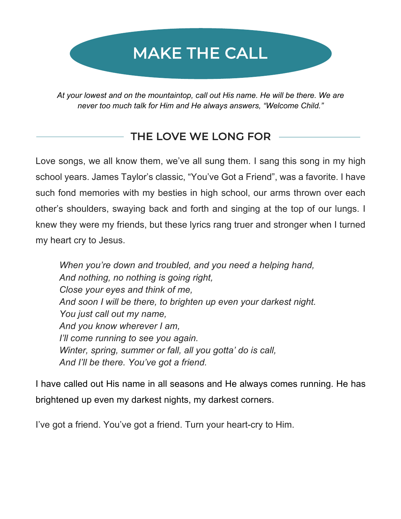# MAKE THE CALL

*At your lowest and on the mountaintop, call out His name. He will be there. We are never too much talk for Him and He always answers, "Welcome Child."*

## THE LOVE WE LONG FOR

Love songs, we all know them, we've all sung them. I sang this song in my high school years. James Taylor's classic, "You've Got a Friend", was a favorite. I have such fond memories with my besties in high school, our arms thrown over each other's shoulders, swaying back and forth and singing at the top of our lungs. I knew they were my friends, but these lyrics rang truer and stronger when I turned my heart cry to Jesus.

*When you're down and troubled, and you need a helping hand, And nothing, no nothing is going right, Close your eyes and think of me, And soon I will be there, to brighten up even your darkest night. You just call out my name, And you know wherever I am, I'll come running to see you again. Winter, spring, summer or fall, all you gotta' do is call, And I'll be there. You've got a friend.* 

I have called out His name in all seasons and He always comes running. He has brightened up even my darkest nights, my darkest corners.

I've got a friend. You've got a friend. Turn your heart-cry to Him.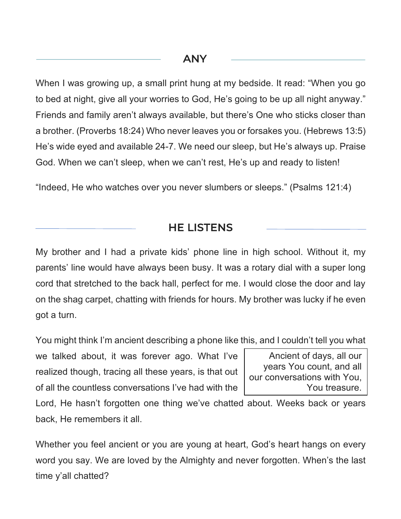#### ANY

When I was growing up, a small print hung at my bedside. It read: "When you go to bed at night, give all your worries to God, He's going to be up all night anyway." Friends and family aren't always available, but there's One who sticks closer than a brother. (Proverbs 18:24) Who never leaves you or forsakes you. (Hebrews 13:5) He's wide eyed and available 24-7. We need our sleep, but He's always up. Praise God. When we can't sleep, when we can't rest, He's up and ready to listen!

"Indeed, He who watches over you never slumbers or sleeps." (Psalms 121:4)

#### HE LISTENS

My brother and I had a private kids' phone line in high school. Without it, my parents' line would have always been busy. It was a rotary dial with a super long cord that stretched to the back hall, perfect for me. I would close the door and lay on the shag carpet, chatting with friends for hours. My brother was lucky if he even got a turn.

You might think I'm ancient describing a phone like this, and I couldn't tell you what

we talked about, it was forever ago. What I've realized though, tracing all these years, is that out of all the countless conversations I've had with the

Ancient of days, all our years You count, and all our conversations with You, You treasure.

Lord, He hasn't forgotten one thing we've chatted about. Weeks back or years back, He remembers it all.

Whether you feel ancient or you are young at heart, God's heart hangs on every word you say. We are loved by the Almighty and never forgotten. When's the last time y'all chatted?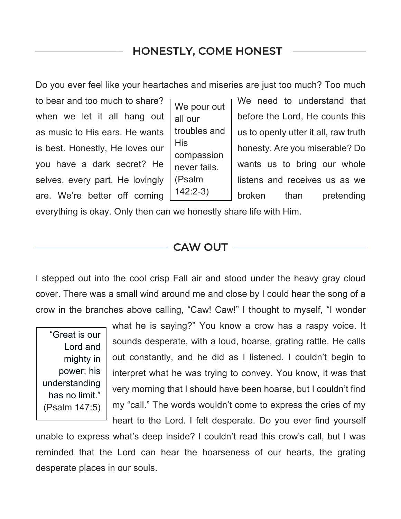## HONESTLY, COME HONEST

Do you ever feel like your heartaches and miseries are just too much? Too much

 $\overline{a}$ 

We pour out all our troubles and His compassion never fails. (Psalm 142:2-3)

to bear and too much to share?  $\Box$  We need to understand that when we let it all hang out  $\vert$  all our  $\vert$  before the Lord, He counts this as music to His ears. He wants  $\vert$  troubles and  $\vert$  us to openly utter it all, raw truth is best. Honestly, He loves our  $\begin{bmatrix} 1 & 1 & 1 \\ 1 & 1 & 1 \end{bmatrix}$  honesty. Are you miserable? Do you have a dark secret? He  $\int_{\text{power fails}}$  wants us to bring our whole selves, every part. He lovingly  $\vert$  (Psalm  $\vert$  listens and receives us as we are. We're better off coming  $\vert^{142.2}$ ,  $\vert$  broken than pretending

everything is okay. Only then can we honestly share life with Him.

#### CAW OUT

I stepped out into the cool crisp Fall air and stood under the heavy gray cloud cover. There was a small wind around me and close by I could hear the song of a crow in the branches above calling, "Caw! Caw!" I thought to myself, "I wonder

"Great is our Lord and mighty in power; his understanding has no limit." (Psalm 147:5)

what he is saying?" You know a crow has a raspy voice. It sounds desperate, with a loud, hoarse, grating rattle. He calls out constantly, and he did as I listened. I couldn't begin to interpret what he was trying to convey. You know, it was that very morning that I should have been hoarse, but I couldn't find my "call." The words wouldn't come to express the cries of my heart to the Lord. I felt desperate. Do you ever find yourself

unable to express what's deep inside? I couldn't read this crow's call, but I was reminded that the Lord can hear the hoarseness of our hearts, the grating desperate places in our souls.